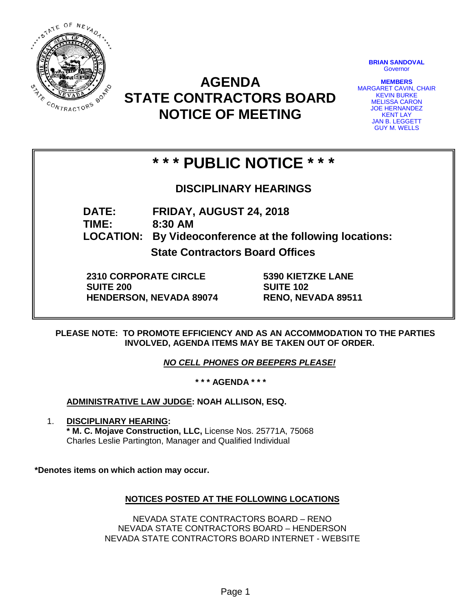

# **AGENDA STATE CONTRACTORS BOARD NOTICE OF MEETING**

**BRIAN SANDOVAL Governor** 

**MEMBERS** MARGARET CAVIN, CHAIR KEVIN BURKE MELISSA CARON JOE HERNANDEZ KENT LAY JAN B. LEGGETT GUY M. WELLS

# **\* \* \* PUBLIC NOTICE \* \* \***

### **DISCIPLINARY HEARINGS**

**DATE: FRIDAY, AUGUST 24, 2018 TIME: 8:30 AM LOCATION: By Videoconference at the following locations:**

**State Contractors Board Offices**

**2310 CORPORATE CIRCLE SUITE 200 HENDERSON, NEVADA 89074** **5390 KIETZKE LANE SUITE 102 RENO, NEVADA 89511**

**PLEASE NOTE: TO PROMOTE EFFICIENCY AND AS AN ACCOMMODATION TO THE PARTIES INVOLVED, AGENDA ITEMS MAY BE TAKEN OUT OF ORDER.**

*NO CELL PHONES OR BEEPERS PLEASE!* 

**\* \* \* AGENDA \* \* \***

**ADMINISTRATIVE LAW JUDGE: NOAH ALLISON, ESQ.** 

1. **DISCIPLINARY HEARING: \* M. C. Mojave Construction, LLC,** License Nos. 25771A, 75068 Charles Leslie Partington, Manager and Qualified Individual

**\*Denotes items on which action may occur.**

### **NOTICES POSTED AT THE FOLLOWING LOCATIONS**

NEVADA STATE CONTRACTORS BOARD – RENO NEVADA STATE CONTRACTORS BOARD – HENDERSON NEVADA STATE CONTRACTORS BOARD INTERNET - WEBSITE